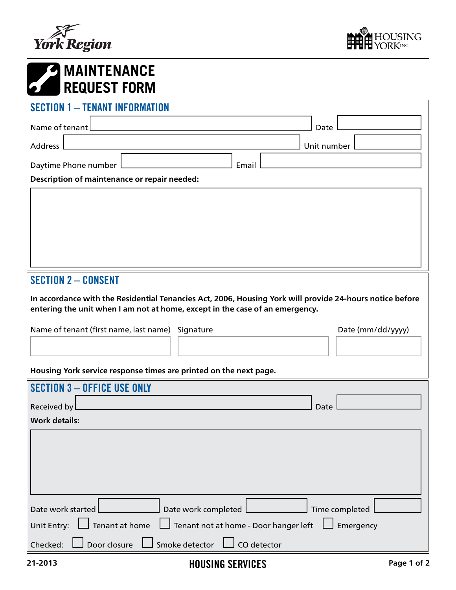



| <b>EXAINTENANCE</b><br><b>REQUEST FORM</b>                                     |                                                                                                                                                                                                                                                               |                   |  |
|--------------------------------------------------------------------------------|---------------------------------------------------------------------------------------------------------------------------------------------------------------------------------------------------------------------------------------------------------------|-------------------|--|
| <b>SECTION 1 - TENANT INFORMATION</b>                                          |                                                                                                                                                                                                                                                               |                   |  |
| Name of tenant                                                                 |                                                                                                                                                                                                                                                               | Date              |  |
| Address                                                                        |                                                                                                                                                                                                                                                               | Unit number       |  |
| Daytime Phone number                                                           | Email                                                                                                                                                                                                                                                         |                   |  |
| Description of maintenance or repair needed:                                   |                                                                                                                                                                                                                                                               |                   |  |
|                                                                                |                                                                                                                                                                                                                                                               |                   |  |
| <b>SECTION 2 - CONSENT</b><br>Name of tenant (first name, last name) Signature | In accordance with the Residential Tenancies Act, 2006, Housing York will provide 24-hours notice before<br>entering the unit when I am not at home, except in the case of an emergency.<br>Housing York service response times are printed on the next page. | Date (mm/dd/yyyy) |  |
| <b>SECTION 3 - OFFICE USE ONLY</b>                                             |                                                                                                                                                                                                                                                               |                   |  |
| Received by                                                                    |                                                                                                                                                                                                                                                               | Date              |  |
| <b>Work details:</b>                                                           |                                                                                                                                                                                                                                                               |                   |  |
|                                                                                |                                                                                                                                                                                                                                                               |                   |  |
| Date work started                                                              | Date work completed                                                                                                                                                                                                                                           | Time completed    |  |
| $\sf J$ Tenant at home<br>Unit Entry:                                          | Tenant not at home - Door hanger left                                                                                                                                                                                                                         | Emergency         |  |
| Door closure<br>Checked:                                                       | Smoke detector<br>CO detector                                                                                                                                                                                                                                 |                   |  |
| 21-2013                                                                        | <b>HOUSING SERVICES</b>                                                                                                                                                                                                                                       | Page 1 of 2       |  |